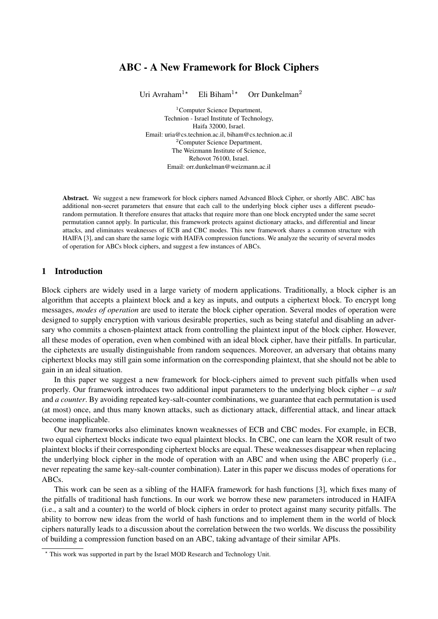# ABC - A New Framework for Block Ciphers

Uri Avraham<sup>1\*</sup> Eli Biham<sup>1\*</sup> Orr Dunkelman<sup>2</sup>

<sup>1</sup>Computer Science Department, Technion - Israel Institute of Technology, Haifa 32000, Israel. Email: uria@cs.technion.ac.il, biham@cs.technion.ac.il <sup>2</sup>Computer Science Department, The Weizmann Institute of Science, Rehovot 76100, Israel. Email: orr.dunkelman@weizmann.ac.il

Abstract. We suggest a new framework for block ciphers named Advanced Block Cipher, or shortly ABC. ABC has additional non-secret parameters that ensure that each call to the underlying block cipher uses a different pseudorandom permutation. It therefore ensures that attacks that require more than one block encrypted under the same secret permutation cannot apply. In particular, this framework protects against dictionary attacks, and differential and linear attacks, and eliminates weaknesses of ECB and CBC modes. This new framework shares a common structure with HAIFA [3], and can share the same logic with HAIFA compression functions. We analyze the security of several modes of operation for ABCs block ciphers, and suggest a few instances of ABCs.

# 1 Introduction

Block ciphers are widely used in a large variety of modern applications. Traditionally, a block cipher is an algorithm that accepts a plaintext block and a key as inputs, and outputs a ciphertext block. To encrypt long messages, *modes of operation* are used to iterate the block cipher operation. Several modes of operation were designed to supply encryption with various desirable properties, such as being stateful and disabling an adversary who commits a chosen-plaintext attack from controlling the plaintext input of the block cipher. However, all these modes of operation, even when combined with an ideal block cipher, have their pitfalls. In particular, the ciphetexts are usually distinguishable from random sequences. Moreover, an adversary that obtains many ciphertext blocks may still gain some information on the corresponding plaintext, that she should not be able to gain in an ideal situation.

In this paper we suggest a new framework for block-ciphers aimed to prevent such pitfalls when used properly. Our framework introduces two additional input parameters to the underlying block cipher – *a salt* and *a counter*. By avoiding repeated key-salt-counter combinations, we guarantee that each permutation is used (at most) once, and thus many known attacks, such as dictionary attack, differential attack, and linear attack become inapplicable.

Our new frameworks also eliminates known weaknesses of ECB and CBC modes. For example, in ECB, two equal ciphertext blocks indicate two equal plaintext blocks. In CBC, one can learn the XOR result of two plaintext blocks if their corresponding ciphertext blocks are equal. These weaknesses disappear when replacing the underlying block cipher in the mode of operation with an ABC and when using the ABC properly (i.e., never repeating the same key-salt-counter combination). Later in this paper we discuss modes of operations for ABCs.

This work can be seen as a sibling of the HAIFA framework for hash functions [3], which fixes many of the pitfalls of traditional hash functions. In our work we borrow these new parameters introduced in HAIFA (i.e., a salt and a counter) to the world of block ciphers in order to protect against many security pitfalls. The ability to borrow new ideas from the world of hash functions and to implement them in the world of block ciphers naturally leads to a discussion about the correlation between the two worlds. We discuss the possibility of building a compression function based on an ABC, taking advantage of their similar APIs.

<sup>?</sup> This work was supported in part by the Israel MOD Research and Technology Unit.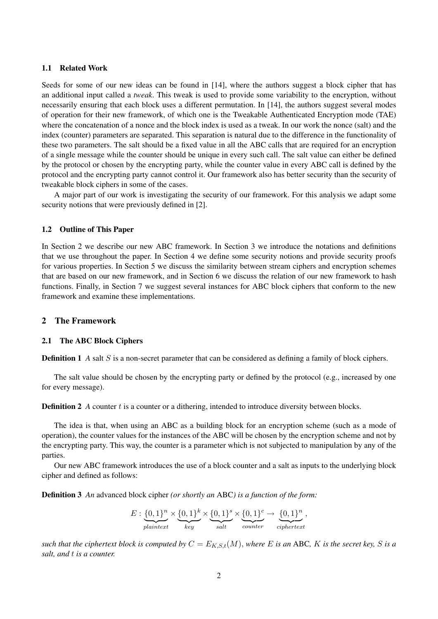## 1.1 Related Work

Seeds for some of our new ideas can be found in [14], where the authors suggest a block cipher that has an additional input called a *tweak*. This tweak is used to provide some variability to the encryption, without necessarily ensuring that each block uses a different permutation. In [14], the authors suggest several modes of operation for their new framework, of which one is the Tweakable Authenticated Encryption mode (TAE) where the concatenation of a nonce and the block index is used as a tweak. In our work the nonce (salt) and the index (counter) parameters are separated. This separation is natural due to the difference in the functionality of these two parameters. The salt should be a fixed value in all the ABC calls that are required for an encryption of a single message while the counter should be unique in every such call. The salt value can either be defined by the protocol or chosen by the encrypting party, while the counter value in every ABC call is defined by the protocol and the encrypting party cannot control it. Our framework also has better security than the security of tweakable block ciphers in some of the cases.

A major part of our work is investigating the security of our framework. For this analysis we adapt some security notions that were previously defined in [2].

## 1.2 Outline of This Paper

In Section 2 we describe our new ABC framework. In Section 3 we introduce the notations and definitions that we use throughout the paper. In Section 4 we define some security notions and provide security proofs for various properties. In Section 5 we discuss the similarity between stream ciphers and encryption schemes that are based on our new framework, and in Section 6 we discuss the relation of our new framework to hash functions. Finally, in Section 7 we suggest several instances for ABC block ciphers that conform to the new framework and examine these implementations.

## 2 The Framework

#### 2.1 The ABC Block Ciphers

**Definition 1** *A* salt *S* is a non-secret parameter that can be considered as defining a family of block ciphers.

The salt value should be chosen by the encrypting party or defined by the protocol (e.g., increased by one for every message).

**Definition 2** *A* counter t is a counter or a dithering, intended to introduce diversity between blocks.

The idea is that, when using an ABC as a building block for an encryption scheme (such as a mode of operation), the counter values for the instances of the ABC will be chosen by the encryption scheme and not by the encrypting party. This way, the counter is a parameter which is not subjected to manipulation by any of the parties.

Our new ABC framework introduces the use of a block counter and a salt as inputs to the underlying block cipher and defined as follows:

Definition 3 *An* advanced block cipher *(or shortly an* ABC*) is a function of the form:*

$$
E: \underbrace{\{0,1\}^n}_{plaintext} \times \underbrace{\{0,1\}^k}_{key} \times \underbrace{\{0,1\}^s}_{salt} \times \underbrace{\{0,1\}^c}_{counter} \rightarrow \underbrace{\{0,1\}^n}_{ciphertext},
$$

*such that the ciphertext block is computed by*  $C = E_{K,S,t}(M)$ *, where* E *is an* ABC, K *is the secret key,* S *is a salt, and* t *is a counter.*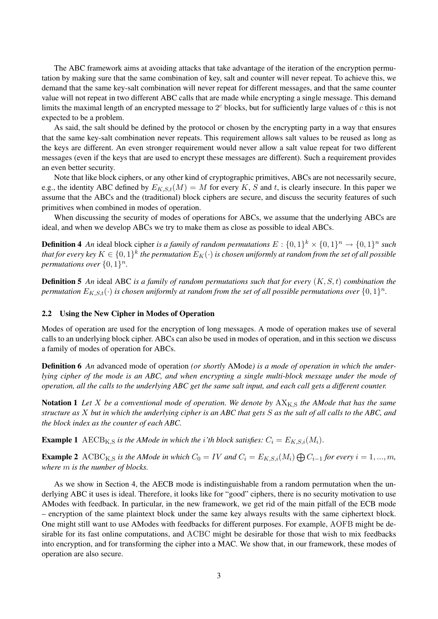The ABC framework aims at avoiding attacks that take advantage of the iteration of the encryption permutation by making sure that the same combination of key, salt and counter will never repeat. To achieve this, we demand that the same key-salt combination will never repeat for different messages, and that the same counter value will not repeat in two different ABC calls that are made while encrypting a single message. This demand limits the maximal length of an encrypted message to  $2<sup>c</sup>$  blocks, but for sufficiently large values of  $c$  this is not expected to be a problem.

As said, the salt should be defined by the protocol or chosen by the encrypting party in a way that ensures that the same key-salt combination never repeats. This requirement allows salt values to be reused as long as the keys are different. An even stronger requirement would never allow a salt value repeat for two different messages (even if the keys that are used to encrypt these messages are different). Such a requirement provides an even better security.

Note that like block ciphers, or any other kind of cryptographic primitives, ABCs are not necessarily secure, e.g., the identity ABC defined by  $E_{K,S,t}(M) = M$  for every K, S and t, is clearly insecure. In this paper we assume that the ABCs and the (traditional) block ciphers are secure, and discuss the security features of such primitives when combined in modes of operation.

When discussing the security of modes of operations for ABCs, we assume that the underlying ABCs are ideal, and when we develop ABCs we try to make them as close as possible to ideal ABCs.

**Definition 4** An ideal block cipher is a family of random permutations  $E: \{0,1\}^k \times \{0,1\}^n \to \{0,1\}^n$  such that for every key  $K\in\{0,1\}^k$  the permutation  $E_K(\cdot)$  is chosen uniformly at random from the set of all possible *permutations over*  $\{0,1\}^n$ *.* 

Definition 5 *An* ideal ABC *is a family of random permutations such that for every* (K, S, t) *combination the* permutation  $E_{K,S,t}(\cdot)$  is chosen uniformly at random from the set of all possible permutations over  $\{0,1\}^n$ .

## 2.2 Using the New Cipher in Modes of Operation

Modes of operation are used for the encryption of long messages. A mode of operation makes use of several calls to an underlying block cipher. ABCs can also be used in modes of operation, and in this section we discuss a family of modes of operation for ABCs.

Definition 6 *An* advanced mode of operation *(or shortly* AMode*) is a mode of operation in which the underlying cipher of the mode is an ABC, and when encrypting a single multi-block message under the mode of operation, all the calls to the underlying ABC get the same salt input, and each call gets a different counter.*

Notation 1 *Let X be a conventional mode of operation. We denote by*  $AX_{K,S}$  *the AMode that has the same structure as* X *but in which the underlying cipher is an ABC that gets* S *as the salt of all calls to the ABC, and the block index as the counter of each ABC.*

**Example 1** AECB<sub>K,S</sub> is the AMode in which the *i*'th block satisfies:  $C_i = E_{K,S,i}(M_i)$ .

**Example 2** ACBC<sub>K,S</sub> is the AMode in which  $C_0 = IV$  and  $C_i = E_{K,S,i}(M_i) \bigoplus C_{i-1}$  for every  $i = 1, ..., m$ , *where* m *is the number of blocks.*

As we show in Section 4, the AECB mode is indistinguishable from a random permutation when the underlying ABC it uses is ideal. Therefore, it looks like for "good" ciphers, there is no security motivation to use AModes with feedback. In particular, in the new framework, we get rid of the main pitfall of the ECB mode – encryption of the same plaintext block under the same key always results with the same ciphertext block. One might still want to use AModes with feedbacks for different purposes. For example, AOFB might be desirable for its fast online computations, and ACBC might be desirable for those that wish to mix feedbacks into encryption, and for transforming the cipher into a MAC. We show that, in our framework, these modes of operation are also secure.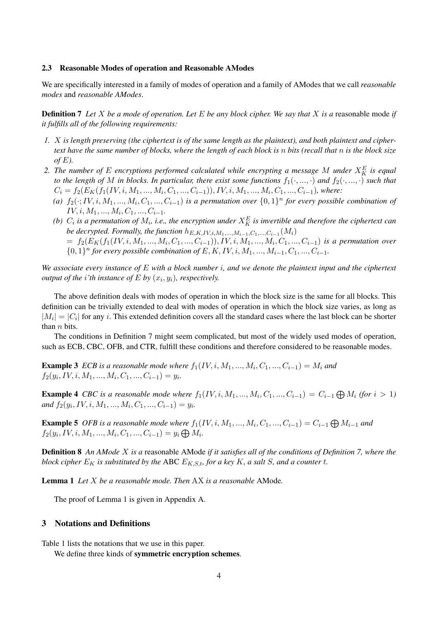## 2.3 Reasonable Modes of operation and Reasonable AModes

We are specifically interested in a family of modes of operation and a family of AModes that we call *reasonable modes* and *reasonable AModes*.

Definition 7 *Let* X *be a mode of operation. Let* E *be any block cipher. We say that* X *is a* reasonable mode *if it fulfills all of the following requirements:*

- *1.* X *is length preserving (the ciphertext is of the same length as the plaintext), and both plaintext and ciphertext have the same number of blocks, where the length of each block is* n *bits (recall that* n *is the block size*  $of E$ ).
- *2. The number of* E *encryptions performed calculated while encrypting a message* M *under* X<sup>E</sup> <sup>K</sup> *is equal to the length of* M *in blocks. In particular, there exist some functions*  $f_1(\cdot, ..., \cdot)$  *and*  $f_2(\cdot, ..., \cdot)$  *such that*  $C_i = f_2(E_K(f_1(IV, i, M_1, ..., M_i, C_1, ..., C_{i-1})), IV, i, M_1, ..., M_i, C_1, ..., C_{i-1}),$  where:
	- (a)  $f_2(\cdot; IV, i, M_1, ..., M_i, C_1, ..., C_{i-1})$  *is a permutation over*  $\{0, 1\}^n$  *for every possible combination of*  $IV, i, M_1, ..., M_i, C_1, ..., C_{i-1}.$
	- (b)  $C_i$  is a permutation of  $M_i$ , i.e., the encryption under  $X_K^E$  is invertible and therefore the ciphertext can *be decrypted. Formally, the function*  $h_{E,K,IV,i,M_1,...,M_{i-1},C_1,...,C_{i-1}}(M_i)$  $= f_2(E_K(f_1(IV, i, M_1, ..., M_i, C_1, ..., C_{i-1})), IV, i, M_1, ..., M_i, C_1, ..., C_{i-1})$  is a permutation over
		- {0, 1}<sup>*n*</sup> for every possible combination of E, K, IV, i, M<sub>1</sub>, ..., M<sub>i−1</sub>, C<sub>1</sub>, ..., C<sub>i−1</sub>.

*We associate every instance of* E *with a block number* i*, and we denote the plaintext input and the ciphertext output of the i'th instance of*  $E$  *by*  $(x_i, y_i)$ *, respectively.* 

The above definition deals with modes of operation in which the block size is the same for all blocks. This definition can be trivially extended to deal with modes of operation in which the block size varies, as long as  $|M_i| = |C_i|$  for any i. This extended definition covers all the standard cases where the last block can be shorter than *n* bits.

The conditions in Definition 7 might seem complicated, but most of the widely used modes of operation, such as ECB, CBC, OFB, and CTR, fulfill these conditions and therefore considered to be reasonable modes.

**Example 3** ECB is a reasonable mode where  $f_1(IV, i, M_1, ..., M_i, C_1, ..., C_{i-1}) = M_i$  and  $f_2(y_i, IV, i, M_1, ..., M_i, C_1, ..., C_{i-1}) = y_i.$ 

**Example 4** CBC is a reasonable mode where  $f_1(IV, i, M_1, ..., M_i, C_1, ..., C_{i-1}) = C_{i-1} \bigoplus M_i$  (for  $i > 1$ )  $and f_2(y_i, IV, i, M_1, ..., M_i, C_1, ..., C_{i-1}) = y_i.$ 

**Example 5** OFB is a reasonable mode where  $f_1(IV, i, M_1, ..., M_i, C_1, ..., C_{i-1}) = C_{i-1} \bigoplus M_{i-1}$  and  $f_2(y_i, IV, i, M_1, ..., M_i, C_1, ..., C_{i-1}) = y_i \bigoplus M_i.$ 

Definition 8 *An AMode* X *is a* reasonable AMode *if it satisfies all of the conditions of Definition 7, where the block cipher*  $E_K$  *is substituted by the ABC*  $E_{K, S, t}$  *for a key* K, *a salt* S, *and a counter* t.

Lemma 1 *Let* X *be a reasonable mode. Then* AX *is a reasonable* AMode*.*

The proof of Lemma 1 is given in Appendix A.

## 3 Notations and Definitions

Table 1 lists the notations that we use in this paper.

We define three kinds of symmetric encryption schemes.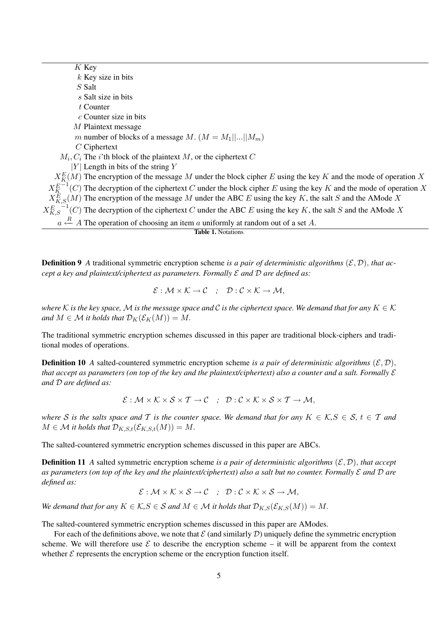$K$  Key  $k$  Key size in bits S Salt s Salt size in bits t Counter c Counter size in bits M Plaintext message m number of blocks of a message M.  $(M = M_1||...||M_m)$ C Ciphertext  $M_i, C_i$  The *i*'th block of the plaintext M, or the ciphertext C  $|Y|$  Length in bits of the string Y  $X_{K}^{E}(M)$  The encryption of the message M under the block cipher E using the key K and the mode of operation X  $X_K^E$  $\overline{C}^{-1}(C)$  The decryption of the ciphertext C under the block cipher E using the key K and the mode of operation X  $X_{K,S}^E(M)$  The encryption of the message M under the ABC E using the key K, the salt S and the AMode X  $X_{K,S}^E$  $\overline{C}^{-1}(C)$  The decryption of the ciphertext C under the ABC E using the key K, the salt S and the AMode X  $a \stackrel{R}{\leftarrow} A$  The operation of choosing an item a uniformly at random out of a set A. Table 1. Notations

**Definition 9** A traditional symmetric encryption scheme *is a pair of deterministic algorithms* ( $\mathcal{E}, \mathcal{D}$ ), *that accept a key and plaintext/ciphertext as parameters. Formally* E *and* D *are defined as:*

$$
\mathcal{E}: \mathcal{M} \times \mathcal{K} \to \mathcal{C} \quad ; \quad \mathcal{D}: \mathcal{C} \times \mathcal{K} \to \mathcal{M},
$$

*where* K is the key space, M is the message space and C is the ciphertext space. We demand that for any  $K \in \mathcal{K}$ *and*  $M \in \mathcal{M}$  *it holds that*  $\mathcal{D}_K(\mathcal{E}_K(M)) = M$ .

The traditional symmetric encryption schemes discussed in this paper are traditional block-ciphers and traditional modes of operations.

**Definition 10** *A* salted-countered symmetric encryption scheme *is a pair of deterministic algorithms*  $(\mathcal{E}, \mathcal{D})$ , *that accept as parameters (on top of the key and the plaintext/ciphertext) also a counter and a salt. Formally*  $\mathcal E$ *and* D *are defined as:*

$$
\mathcal{E}: \mathcal{M} \times \mathcal{K} \times \mathcal{S} \times \mathcal{T} \to \mathcal{C} \quad ; \quad \mathcal{D}: \mathcal{C} \times \mathcal{K} \times \mathcal{S} \times \mathcal{T} \to \mathcal{M},
$$

*where* S is the salts space and T is the counter space. We demand that for any  $K \in \mathcal{K}, S \in \mathcal{S}, t \in \mathcal{T}$  and  $M \in \mathcal{M}$  *it holds that*  $\mathcal{D}_{K,S,t}(\mathcal{E}_{K,S,t}(M)) = M$ .

The salted-countered symmetric encryption schemes discussed in this paper are ABCs.

**Definition 11** *A* salted symmetric encryption scheme *is a pair of deterministic algorithms*  $(\mathcal{E}, \mathcal{D})$ , *that accept as parameters (on top of the key and the plaintext/ciphertext) also a salt but no counter. Formally* E *and* D *are defined as:*

 $\mathcal{E}: \mathcal{M} \times \mathcal{K} \times \mathcal{S} \to \mathcal{C}$  ;  $\mathcal{D}: \mathcal{C} \times \mathcal{K} \times \mathcal{S} \to \mathcal{M}$ ,

*We demand that for any*  $K \in \mathcal{K}, S \in \mathcal{S}$  *and*  $M \in \mathcal{M}$  *it holds that*  $\mathcal{D}_{K,S}(\mathcal{E}_{K,S}(M)) = M$ .

The salted-countered symmetric encryption schemes discussed in this paper are AModes.

For each of the definitions above, we note that  $\mathcal E$  (and similarly  $\mathcal D$ ) uniquely define the symmetric encryption scheme. We will therefore use  $\mathcal E$  to describe the encryption scheme – it will be apparent from the context whether  $\mathcal E$  represents the encryption scheme or the encryption function itself.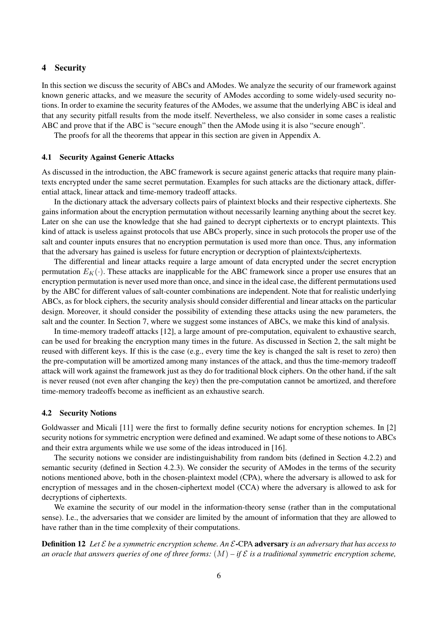## 4 Security

In this section we discuss the security of ABCs and AModes. We analyze the security of our framework against known generic attacks, and we measure the security of AModes according to some widely-used security notions. In order to examine the security features of the AModes, we assume that the underlying ABC is ideal and that any security pitfall results from the mode itself. Nevertheless, we also consider in some cases a realistic ABC and prove that if the ABC is "secure enough" then the AMode using it is also "secure enough".

The proofs for all the theorems that appear in this section are given in Appendix A.

## 4.1 Security Against Generic Attacks

As discussed in the introduction, the ABC framework is secure against generic attacks that require many plaintexts encrypted under the same secret permutation. Examples for such attacks are the dictionary attack, differential attack, linear attack and time-memory tradeoff attacks.

In the dictionary attack the adversary collects pairs of plaintext blocks and their respective ciphertexts. She gains information about the encryption permutation without necessarily learning anything about the secret key. Later on she can use the knowledge that she had gained to decrypt ciphertexts or to encrypt plaintexts. This kind of attack is useless against protocols that use ABCs properly, since in such protocols the proper use of the salt and counter inputs ensures that no encryption permutation is used more than once. Thus, any information that the adversary has gained is useless for future encryption or decryption of plaintexts/ciphertexts.

The differential and linear attacks require a large amount of data encrypted under the secret encryption permutation  $E_K(\cdot)$ . These attacks are inapplicable for the ABC framework since a proper use ensures that an encryption permutation is never used more than once, and since in the ideal case, the different permutations used by the ABC for different values of salt-counter combinations are independent. Note that for realistic underlying ABCs, as for block ciphers, the security analysis should consider differential and linear attacks on the particular design. Moreover, it should consider the possibility of extending these attacks using the new parameters, the salt and the counter. In Section 7, where we suggest some instances of ABCs, we make this kind of analysis.

In time-memory tradeoff attacks [12], a large amount of pre-computation, equivalent to exhaustive search, can be used for breaking the encryption many times in the future. As discussed in Section 2, the salt might be reused with different keys. If this is the case (e.g., every time the key is changed the salt is reset to zero) then the pre-computation will be amortized among many instances of the attack, and thus the time-memory tradeoff attack will work against the framework just as they do for traditional block ciphers. On the other hand, if the salt is never reused (not even after changing the key) then the pre-computation cannot be amortized, and therefore time-memory tradeoffs become as inefficient as an exhaustive search.

## 4.2 Security Notions

Goldwasser and Micali [11] were the first to formally define security notions for encryption schemes. In [2] security notions for symmetric encryption were defined and examined. We adapt some of these notions to ABCs and their extra arguments while we use some of the ideas introduced in [16].

The security notions we consider are indistinguishability from random bits (defined in Section 4.2.2) and semantic security (defined in Section 4.2.3). We consider the security of AModes in the terms of the security notions mentioned above, both in the chosen-plaintext model (CPA), where the adversary is allowed to ask for encryption of messages and in the chosen-ciphertext model (CCA) where the adversary is allowed to ask for decryptions of ciphertexts.

We examine the security of our model in the information-theory sense (rather than in the computational sense). I.e., the adversaries that we consider are limited by the amount of information that they are allowed to have rather than in the time complexity of their computations.

Definition 12 *Let* E *be a symmetric encryption scheme. An* E-CPA adversary *is an adversary that has access to* an oracle that answers queries of one of three forms:  $(M)$  – if  $\mathcal E$  is a traditional symmetric encryption scheme,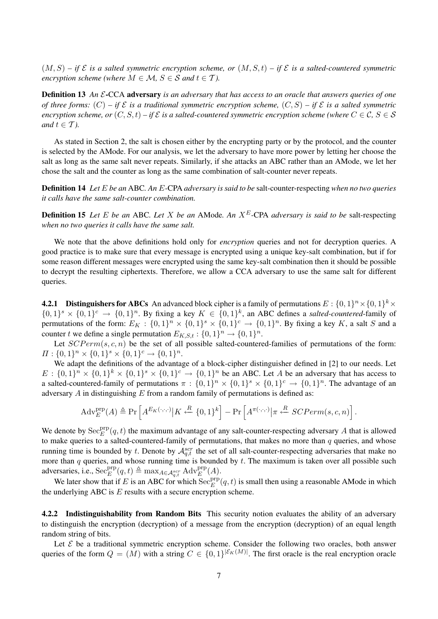$(M, S)$  – if  $\mathcal E$  is a salted symmetric encryption scheme, or  $(M, S, t)$  – if  $\mathcal E$  is a salted-countered symmetric *encryption scheme (where*  $M \in \mathcal{M}$ ,  $S \in \mathcal{S}$  *and*  $t \in \mathcal{T}$ ).

Definition 13 *An* E-CCA adversary *is an adversary that has access to an oracle that answers queries of one of three forms:*  $(C)$  – if  $\mathcal E$  *is a traditional symmetric encryption scheme,*  $(C, S)$  – if  $\mathcal E$  *is a salted symmetric encryption scheme, or*  $(C, S, t) - i\mathcal{F} \mathcal{E}$  *is a salted-countered symmetric encryption scheme (where*  $C \in \mathcal{C}, S \in \mathcal{S}$ *and*  $t \in \mathcal{T}$ *).* 

As stated in Section 2, the salt is chosen either by the encrypting party or by the protocol, and the counter is selected by the AMode. For our analysis, we let the adversary to have more power by letting her choose the salt as long as the same salt never repeats. Similarly, if she attacks an ABC rather than an AMode, we let her chose the salt and the counter as long as the same combination of salt-counter never repeats.

Definition 14 *Let* E *be an* ABC*. An* E*-*CPA *adversary is said to be* salt-counter-respecting *when no two queries it calls have the same salt-counter combination.*

Definition 15 *Let* E *be an* ABC*. Let* X *be an* AMode*. An* XE*-*CPA *adversary is said to be* salt-respecting *when no two queries it calls have the same salt.*

We note that the above definitions hold only for *encryption* queries and not for decryption queries. A good practice is to make sure that every message is encrypted using a unique key-salt combination, but if for some reason different messages were encrypted using the same key-salt combination then it should be possible to decrypt the resulting ciphertexts. Therefore, we allow a CCA adversary to use the same salt for different queries.

**4.2.1** Distinguishers for ABCs An advanced block cipher is a family of permutations  $E: \{0,1\}^n \times \{0,1\}^k \times$  $\{0,1\}^s \times \{0,1\}^c \to \{0,1\}^n$ . By fixing a key  $K \in \{0,1\}^k$ , an ABC defines a *salted-countered*-family of permutations of the form:  $E_K: \{0,1\}^n \times \{0,1\}^s \times \{0,1\}^c \rightarrow \{0,1\}^n$ . By fixing a key K, a salt S and a counter t we define a single permutation  $E_{K,S,t}: \{0,1\}^n \to \{0,1\}^n$ .

Let  $SCPerm(s, c, n)$  be the set of all possible salted-countered-families of permutations of the form:  $\Pi: \{0,1\}^n \times \{0,1\}^s \times \{0,1\}^c \rightarrow \{0,1\}^n.$ 

We adapt the definitions of the advantage of a block-cipher distinguisher defined in [2] to our needs. Let  $E: \{0,1\}^n \times \{0,1\}^k \times \{0,1\}^s \times \{0,1\}^c \to \{0,1\}^n$  be an ABC. Let A be an adversary that has access to a salted-countered-family of permutations  $\pi: \{0,1\}^n \times \{0,1\}^s \times \{0,1\}^c \to \{0,1\}^n$ . The advantage of an adversary  $A$  in distinguishing  $E$  from a random family of permutations is defined as:

$$
Adv_E^{\text{prp}}(A) \triangleq \Pr\left[A^{E_K(\cdot,\cdot,\cdot)} \middle| K \stackrel{R}{\leftarrow} \{0,1\}^k\right] - \Pr\left[A^{\pi(\cdot,\cdot,\cdot)} \middle| \pi \stackrel{R}{\leftarrow} SCPerm(s,c,n)\right].
$$

We denote by  $\text{Sec}_{E}^{\text{prp}}(q, t)$  the maximum advantage of any salt-counter-respecting adversary A that is allowed to make queries to a salted-countered-family of permutations, that makes no more than  $q$  queries, and whose running time is bounded by t. Denote by  $\mathcal{A}_{q,t}^{scr}$  the set of all salt-counter-respecting adversaries that make no more than  $q$  queries, and whose running time is bounded by  $t$ . The maximum is taken over all possible such adversaries, i.e.,  $\operatorname{Sec}_{E}^{\text{prp}}(q, t) \triangleq \max_{A \in \mathcal{A}_{q,t}^{scr}} \operatorname{Adv}_{E}^{\text{prp}}(A)$ .

We later show that if E is an ABC for which  $\text{Sec}_{E}^{\text{prp}}(q, t)$  is small then using a reasonable AMode in which the underlying ABC is  $E$  results with a secure encryption scheme.

4.2.2 Indistinguishability from Random Bits This security notion evaluates the ability of an adversary to distinguish the encryption (decryption) of a message from the encryption (decryption) of an equal length random string of bits.

Let  $\mathcal E$  be a traditional symmetric encryption scheme. Consider the following two oracles, both answer queries of the form  $Q = (M)$  with a string  $C \in \{0,1\}^{|\mathcal{E}_K(M)|}$ . The first oracle is the real encryption oracle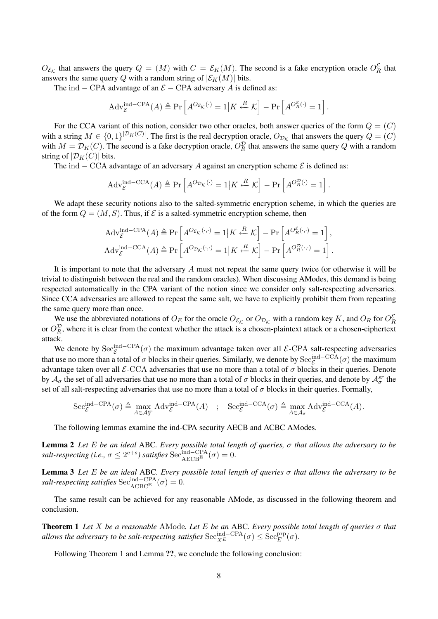$O_{\mathcal{E}_{\mathcal{K}}}$  that answers the query  $Q = (M)$  with  $C = \mathcal{E}_{K}(M)$ . The second is a fake encryption oracle  $O_{R}^{\mathcal{E}}$  that answers the same query Q with a random string of  $|\mathcal{E}_K(M)|$  bits.

The ind – CPA advantage of an  $\mathcal{E}$  – CPA adversary A is defined as:

$$
Adv_{\mathcal{E}}^{\text{ind--CPA}}(A) \triangleq \Pr\left[A^{O_{\mathcal{E}_{\mathcal{K}}}(\cdot)} = 1 | K \stackrel{R}{\leftarrow} \mathcal{K}\right] - \Pr\left[A^{O_{R}^{\mathcal{E}}(\cdot)} = 1\right].
$$

For the CCA variant of this notion, consider two other oracles, both answer queries of the form  $Q = (C)$ with a string  $M \in \{0,1\}^{|\mathcal{D}_K(C)|}$ . The first is the real decryption oracle,  $O_{\mathcal{D}_K}$  that answers the query  $Q = (C)$ with  $M = \mathcal{D}_K(C)$ . The second is a fake decryption oracle,  $O_R^{\mathcal{D}}$  that answers the same query Q with a random string of  $|\mathcal{D}_K(C)|$  bits.

The ind – CCA advantage of an adversary A against an encryption scheme  $\mathcal E$  is defined as:

$$
Adv_{\mathcal{E}}^{\text{ind}-\text{CCA}}(A) \triangleq \Pr\left[A^{O_{\mathcal{D}_{\mathcal{K}}}(\cdot)} = 1 | K \stackrel{R}{\leftarrow} \mathcal{K}\right] - \Pr\left[A^{O_R^{\mathcal{D}}(\cdot)} = 1\right].
$$

We adapt these security notions also to the salted-symmetric encryption scheme, in which the queries are of the form  $Q = (M, S)$ . Thus, if  $\mathcal E$  is a salted-symmetric encryption scheme, then

$$
Adv_{\mathcal{E}}^{\text{ind--CPA}}(A) \triangleq Pr\left[A^{O_{\mathcal{E}_{\mathcal{K}}}(\cdot,\cdot)} = 1 | K \stackrel{R}{\leftarrow} \mathcal{K}\right] - Pr\left[A^{O_{\mathcal{E}}^{\mathcal{K}}(\cdot,\cdot)} = 1\right],
$$
  
\n
$$
Adv_{\mathcal{E}}^{\text{ind--CCA}}(A) \triangleq Pr\left[A^{O_{\mathcal{D}_{\mathcal{K}}}(\cdot,\cdot)} = 1 | K \stackrel{R}{\leftarrow} \mathcal{K}\right] - Pr\left[A^{O_{R}^{D}(\cdot,\cdot)} = 1\right].
$$

It is important to note that the adversary  $A$  must not repeat the same query twice (or otherwise it will be trivial to distinguish between the real and the random oracles). When discussing AModes, this demand is being respected automatically in the CPA variant of the notion since we consider only salt-respecting adversaries. Since CCA adversaries are allowed to repeat the same salt, we have to explicitly prohibit them from repeating the same query more than once.

We use the abbreviated notations of  $O_E$  for the oracle  $O_{\mathcal{E}_\mathcal{K}}$  or  $O_{\mathcal{D}_\mathcal{K}}$  with a random key K, and  $O_R$  for  $O_R^{\mathcal{E}}$ or  $O_R^{\mathcal{D}}$ , where it is clear from the context whether the attack is a chosen-plaintext attack or a chosen-ciphertext attack.

We denote by  $\text{Sec}_{\mathcal{E}}^{\text{ind--CPA}}(\sigma)$  the maximum advantage taken over all  $\mathcal{E}\text{-CPA}$  salt-respecting adversaries that use no more than a total of  $\sigma$  blocks in their queries. Similarly, we denote by  $\text{Sec}_{\mathcal{E}}^{\text{ind--CCA}}(\sigma)$  the maximum advantage taken over all  $\mathcal{E}\text{-CCA}$  adversaries that use no more than a total of  $\sigma$  blocks in their queries. Denote by  $A_{\sigma}$  the set of all adversaries that use no more than a total of  $\sigma$  blocks in their queries, and denote by  $A_{\sigma}^{sr}$  the set of all salt-respecting adversaries that use no more than a total of  $\sigma$  blocks in their queries. Formally,

$$
\mathrm{Sec}^{\mathrm{ind}-\mathrm{CPA}}_{\mathcal{E}}(\sigma) \triangleq \max_{A \in \mathcal{A}_{\sigma}^{\mathrm{sr}}} \mathrm{Adv}_{\mathcal{E}}^{\mathrm{ind}-\mathrm{CPA}}(A) \quad ; \quad \mathrm{Sec}^{\mathrm{ind}-\mathrm{CCA}}_{\mathcal{E}}(\sigma) \triangleq \max_{A \in \mathcal{A}_{\sigma}} \mathrm{Adv}_{\mathcal{E}}^{\mathrm{ind}-\mathrm{CCA}}(A).
$$

The following lemmas examine the ind-CPA security AECB and ACBC AModes.

Lemma 2 *Let* E *be an ideal* ABC*. Every possible total length of queries,* σ *that allows the adversary to be*  $\textit{salt-respecting}$  (i.e.,  $\sigma \leq 2^{c+s}$ ) satisfies  $\text{Sec}_{AECB}^{\text{ind}-CPA}(\sigma) = 0.$ 

Lemma 3 *Let* E *be an ideal* ABC*. Every possible total length of queries* σ *that allows the adversary to be salt-respecting satisfies*  $\text{Sec}_{\text{ACBC}^{\text{E}}}^{\text{ind}-\text{CPA}}(\sigma) = 0.$ 

The same result can be achieved for any reasonable AMode, as discussed in the following theorem and conclusion.

Theorem 1 *Let* X *be a reasonable* AMode*. Let* E *be an* ABC*. Every possible total length of queries* σ *that allows the adversary to be salt-respecting satisfies*  $\mathrm{Sec}_{X^E}^{\mathrm{ind}-\mathrm{CPA}}(\sigma) \leq \mathrm{Sec}_E^{\mathrm{prp}}(\sigma)$ .

Following Theorem 1 and Lemma ??, we conclude the following conclusion: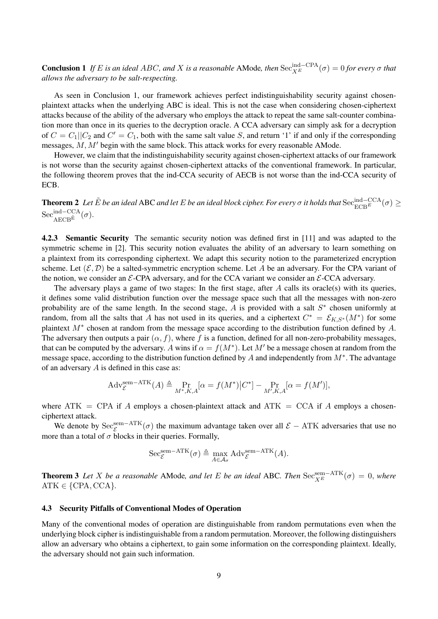**Conclusion 1** If E is an ideal ABC, and X is a reasonable AMode, then  $\text{Sec}_{X^E}^{\text{ind}-\text{CPA}}(\sigma) = 0$  for every  $\sigma$  that *allows the adversary to be salt-respecting.*

As seen in Conclusion 1, our framework achieves perfect indistinguishability security against chosenplaintext attacks when the underlying ABC is ideal. This is not the case when considering chosen-ciphertext attacks because of the ability of the adversary who employs the attack to repeat the same salt-counter combination more than once in its queries to the decryption oracle. A CCA adversary can simply ask for a decryption of  $C = C_1||C_2$  and  $C' = C_1$ , both with the same salt value S, and return '1' if and only if the corresponding messages,  $M, M'$  begin with the same block. This attack works for every reasonable AMode.

However, we claim that the indistinguishability security against chosen-ciphertext attacks of our framework is not worse than the security against chosen-ciphertext attacks of the conventional framework. In particular, the following theorem proves that the ind-CCA security of AECB is not worse than the ind-CCA security of ECB.

**Theorem 2** Let  $\tilde{E}$  be an ideal ABC and let  $E$  be an ideal block cipher. For every  $\sigma$  it holds that  $\text{Sec}_{ECB^E}^{\text{ind}-\text{CCA}}(\sigma) \geq$  $\mathrm{Sec}^{\mathrm{ind-CCA}}_{\mathrm{AECB}^{\tilde{\mathrm{E}}}}(\sigma).$ 

4.2.3 Semantic Security The semantic security notion was defined first in [11] and was adapted to the symmetric scheme in [2]. This security notion evaluates the ability of an adversary to learn something on a plaintext from its corresponding ciphertext. We adapt this security notion to the parameterized encryption scheme. Let  $(\mathcal{E}, \mathcal{D})$  be a salted-symmetric encryption scheme. Let A be an adversary. For the CPA variant of the notion, we consider an  $\mathcal{E}\text{-CPA}$  adversary, and for the CCA variant we consider an  $\mathcal{E}\text{-CCA}$  adversary.

The adversary plays a game of two stages: In the first stage, after  $A$  calls its oracle(s) with its queries, it defines some valid distribution function over the message space such that all the messages with non-zero probability are of the same length. In the second stage,  $A$  is provided with a salt  $S^*$  chosen uniformly at random, from all the salts that A has not used in its queries, and a ciphertext  $C^* = \mathcal{E}_{K,S^*}(M^*)$  for some plaintext  $M^*$  chosen at random from the message space according to the distribution function defined by A. The adversary then outputs a pair  $(\alpha, f)$ , where f is a function, defined for all non-zero-probability messages, that can be computed by the adversary. A wins if  $\alpha = f(M^*)$ . Let  $M'$  be a message chosen at random from the message space, according to the distribution function defined by A and independently from  $M^*$ . The advantage of an adversary  $A$  is defined in this case as:

$$
Adv_{\mathcal{E}}^{\text{sem-ATK}}(A) \triangleq \Pr_{M^*, K, A}[\alpha = f(M^*)|C^*] - \Pr_{M', K, A}[\alpha = f(M')],
$$

where ATK = CPA if A employs a chosen-plaintext attack and ATK = CCA if A employs a chosenciphertext attack.

We denote by  $\text{Sec}_{\mathcal{E}}^{\text{sem}-\text{ATK}}(\sigma)$  the maximum advantage taken over all  $\mathcal{E}-\text{ATK}$  adversaries that use no more than a total of  $\sigma$  blocks in their queries. Formally,

$$
\mathrm{Sec}_{\mathcal{E}}^{\mathrm{sem-ATK}}(\sigma) \triangleq \max_{A \in \mathcal{A}_{\sigma}} \mathrm{Adv}_{\mathcal{E}}^{\mathrm{sem-ATK}}(A).
$$

**Theorem 3** *Let* X *be a reasonable* AMode, and let E *be an ideal* ABC. Then  $\text{Sec}_{X^E}^{\text{sem}-\text{ATK}}(\sigma) = 0$ , where  $ATK \in \{CPA, CCA\}.$ 

## 4.3 Security Pitfalls of Conventional Modes of Operation

Many of the conventional modes of operation are distinguishable from random permutations even when the underlying block cipher is indistinguishable from a random permutation. Moreover, the following distinguishers allow an adversary who obtains a ciphertext, to gain some information on the corresponding plaintext. Ideally, the adversary should not gain such information.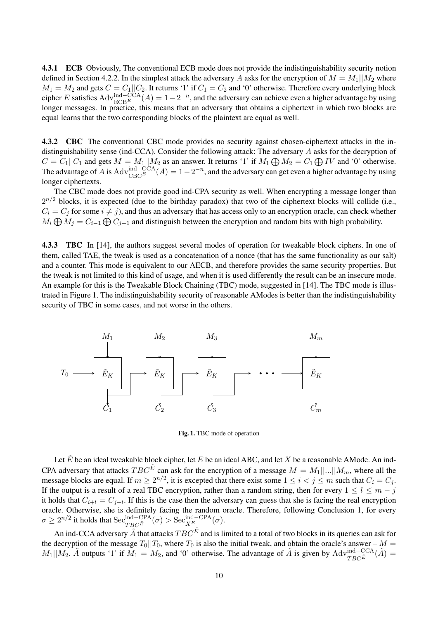4.3.1 ECB Obviously, The conventional ECB mode does not provide the indistinguishability security notion defined in Section 4.2.2. In the simplest attack the adversary A asks for the encryption of  $M = M_1||M_2$  where  $M_1 = M_2$  and gets  $C = C_1||C_2$ . It returns '1' if  $C_1 = C_2$  and '0' otherwise. Therefore every underlying block cipher E satisfies  $Adv_{ECB}^{\text{ind}-CCA}(A) = 1-2^{-n}$ , and the adversary can achieve even a higher advantage by using longer messages. In practice, this means that an adversary that obtains a ciphertext in which two blocks are equal learns that the two corresponding blocks of the plaintext are equal as well.

4.3.2 CBC The conventional CBC mode provides no security against chosen-ciphertext attacks in the indistinguishability sense (ind-CCA). Consider the following attack: The adversary A asks for the decryption of  $C = C_1 || C_1$  and gets  $M = M_1 || M_2$  as an answer. It returns '1' if  $M_1 \bigoplus M_2 = C_1 \bigoplus IV$  and '0' otherwise. The advantage of A is  $\text{Adv}_{\text{CBC}}^{\text{ind}-\text{CCA}}(A) = 1 - 2^{-n}$ , and the adversary can get even a higher advantage by using longer ciphertexts.

The CBC mode does not provide good ind-CPA security as well. When encrypting a message longer than  $2^{n/2}$  blocks, it is expected (due to the birthday paradox) that two of the ciphertext blocks will collide (i.e.,  $C_i = C_j$  for some  $i \neq j$ , and thus an adversary that has access only to an encryption oracle, can check whether  $M_i \bigoplus M_j = C_{i-1} \bigoplus C_{j-1}$  and distinguish between the encryption and random bits with high probability.

4.3.3 TBC In [14], the authors suggest several modes of operation for tweakable block ciphers. In one of them, called TAE, the tweak is used as a concatenation of a nonce (that has the same functionality as our salt) and a counter. This mode is equivalent to our AECB, and therefore provides the same security properties. But the tweak is not limited to this kind of usage, and when it is used differently the result can be an insecure mode. An example for this is the Tweakable Block Chaining (TBC) mode, suggested in [14]. The TBC mode is illustrated in Figure 1. The indistinguishability security of reasonable AModes is better than the indistinguishability security of TBC in some cases, and not worse in the others.



Fig. 1. TBC mode of operation

Let  $\tilde{E}$  be an ideal tweakable block cipher, let E be an ideal ABC, and let X be a reasonable AMode. An ind-CPA adversary that attacks  $TBC^{\tilde{E}}$  can ask for the encryption of a message  $M = M_1 \mid ... \mid M_m$ , where all the message blocks are equal. If  $m \ge 2^{n/2}$ , it is excepted that there exist some  $1 \le i < j \le m$  such that  $C_i = C_j$ . If the output is a result of a real TBC encryption, rather than a random string, then for every  $1 \leq l \leq m - j$ it holds that  $C_{i+l} = C_{j+l}$ . If this is the case then the adversary can guess that she is facing the real encryption oracle. Otherwise, she is definitely facing the random oracle. Therefore, following Conclusion 1, for every  $\sigma \ge 2^{n/2}$  it holds that  $\mathrm{Sec}^{\mathrm{ind-CPA}}_{TBC^{\tilde{E}}}(\sigma) > \mathrm{Sec}^{\mathrm{ind-CPA}}_{X^E}(\sigma).$ 

An ind-CCA adversary  $\tilde{A}$  that attacks  $TBC^{\tilde{E}}$  and is limited to a total of two blocks in its queries can ask for the decryption of the message  $T_0||T_0$ , where  $T_0$  is also the initial tweak, and obtain the oracle's answer –  $M =$  $M_1||M_2$ .  $\tilde{A}$  outputs '1' if  $M_1 = M_2$ , and '0' otherwise. The advantage of  $\tilde{A}$  is given by  $\text{Adv}_{TBC}^{\text{ind}-\text{CCA}}(\tilde{A}) =$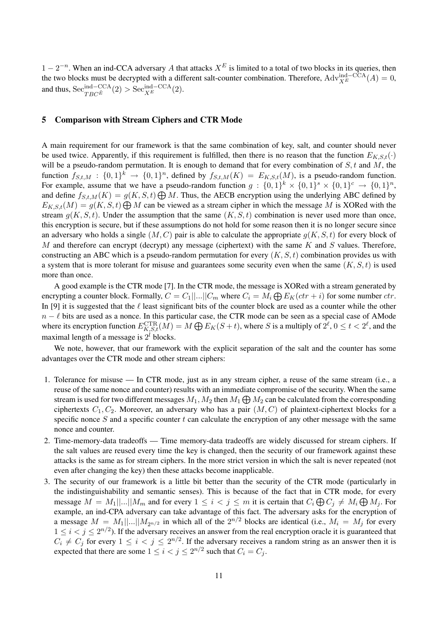$1 - 2^{-n}$ . When an ind-CCA adversary A that attacks  $X^E$  is limited to a total of two blocks in its queries, then the two blocks must be decrypted with a different salt-counter combination. Therefore,  $\text{Adv}_{X^E}^{\text{ind}-\text{CCA}}(A) = 0$ , and thus,  $\mathrm{Sec}_{TBC^{\tilde{E}}}^{\mathrm{ind-CCA}}(2) > \mathrm{Sec}_{X^E}^{\mathrm{ind-CCA}}(2).$ 

# 5 Comparison with Stream Ciphers and CTR Mode

A main requirement for our framework is that the same combination of key, salt, and counter should never be used twice. Apparently, if this requirement is fulfilled, then there is no reason that the function  $E_{K,S,t}(\cdot)$ will be a pseudo-random permutation. It is enough to demand that for every combination of  $S, t$  and  $M$ , the function  $f_{S,t,M} : \{0,1\}^k \to \{0,1\}^n$ , defined by  $f_{S,t,M}(K) = E_{K,S,t}(M)$ , is a pseudo-random function. For example, assume that we have a pseudo-random function  $g: \{0,1\}^k \times \{0,1\}^s \times \{0,1\}^c \to \{0,1\}^n$ , and define  $f_{S,t,M}(K) = g(K, S, t) \bigoplus M$ . Thus, the AECB encryption using the underlying ABC defined by  $E_{K,S,t}(M) = g(K, S, t) \bigoplus M$  can be viewed as a stream cipher in which the message M is XORed with the stream  $g(K, S, t)$ . Under the assumption that the same  $(K, S, t)$  combination is never used more than once, this encryption is secure, but if these assumptions do not hold for some reason then it is no longer secure since an adversary who holds a single  $(M, C)$  pair is able to calculate the appropriate  $q(K, S, t)$  for every block of M and therefore can encrypt (decrypt) any message (ciphertext) with the same  $K$  and  $S$  values. Therefore, constructing an ABC which is a pseudo-random permutation for every  $(K, S, t)$  combination provides us with a system that is more tolerant for misuse and guarantees some security even when the same  $(K, S, t)$  is used more than once.

A good example is the CTR mode [7]. In the CTR mode, the message is XORed with a stream generated by encrypting a counter block. Formally,  $C = C_1 ||...|| C_m$  where  $C_i = M_i \bigoplus E_K (ctr + i)$  for some number  $ctr$ . In [9] it is suggested that the  $\ell$  least significant bits of the counter block are used as a counter while the other  $n - \ell$  bits are used as a nonce. In this particular case, the CTR mode can be seen as a special case of AMode where its encryption function  $E_{K,S,t}^{\text{CTR}}(M) = M \bigoplus E_K(S+t)$ , where S is a multiply of  $2^{\ell}$ ,  $0 \le t < 2^{\ell}$ , and the maximal length of a message is  $2^l$  blocks.

We note, however, that our framework with the explicit separation of the salt and the counter has some advantages over the CTR mode and other stream ciphers:

- 1. Tolerance for misuse In CTR mode, just as in any stream cipher, a reuse of the same stream (i.e., a reuse of the same nonce and counter) results with an immediate compromise of the security. When the same stream is used for two different messages  $M_1, M_2$  then  $M_1 \bigoplus M_2$  can be calculated from the corresponding ciphertexts  $C_1, C_2$ . Moreover, an adversary who has a pair  $(M, C)$  of plaintext-ciphertext blocks for a specific nonce S and a specific counter t can calculate the encryption of any other message with the same nonce and counter.
- 2. Time-memory-data tradeoffs Time memory-data tradeoffs are widely discussed for stream ciphers. If the salt values are reused every time the key is changed, then the security of our framework against these attacks is the same as for stream ciphers. In the more strict version in which the salt is never repeated (not even after changing the key) then these attacks become inapplicable.
- 3. The security of our framework is a little bit better than the security of the CTR mode (particularly in the indistinguishability and semantic senses). This is because of the fact that in CTR mode, for every message  $M = M_1 |...| M_m$  and for every  $1 \leq i < j \leq m$  it is certain that  $C_i \bigoplus C_j \neq M_i \bigoplus M_j$ . For example, an ind-CPA adversary can take advantage of this fact. The adversary asks for the encryption of a message  $M = M_1 \dots | M_{2n/2}$  in which all of the  $2^{n/2}$  blocks are identical (i.e.,  $M_i = M_j$  for every  $1 \leq i < j \leq 2^{n/2}$ ). If the adversary receives an answer from the real encryption oracle it is guaranteed that  $C_i \neq C_j$  for every  $1 \leq i < j \leq 2^{n/2}$ . If the adversary receives a random string as an answer then it is expected that there are some  $1 \leq i < j \leq 2^{n/2}$  such that  $C_i = C_j$ .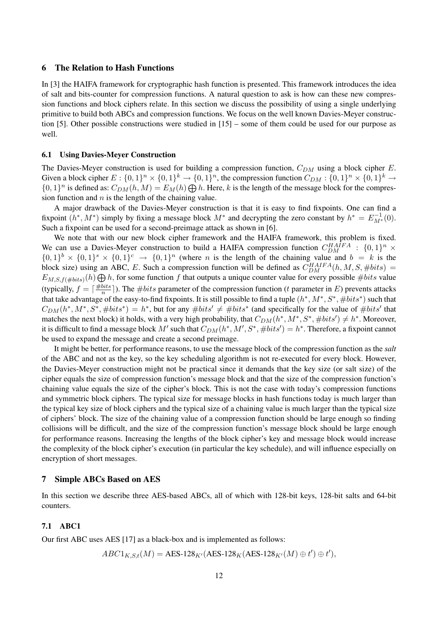## 6 The Relation to Hash Functions

In [3] the HAIFA framework for cryptographic hash function is presented. This framework introduces the idea of salt and bits-counter for compression functions. A natural question to ask is how can these new compression functions and block ciphers relate. In this section we discuss the possibility of using a single underlying primitive to build both ABCs and compression functions. We focus on the well known Davies-Meyer construction [5]. Other possible constructions were studied in [15] – some of them could be used for our purpose as well.

#### 6.1 Using Davies-Meyer Construction

The Davies-Meyer construction is used for building a compression function,  $C_{DM}$  using a block cipher E. Given a block cipher  $E: \{0,1\}^n \times \{0,1\}^k \to \{0,1\}^n$ , the compression function  $C_{DM}: \{0,1\}^n \times \{0,1\}^k \to$  $\{0,1\}^n$  is defined as:  $C_{DM}(h,M) = E_M(h) \bigoplus h$ . Here, k is the length of the message block for the compression function and  $n$  is the length of the chaining value.

A major drawback of the Davies-Meyer construction is that it is easy to find fixpoints. One can find a fixpoint  $(h^*, M^*)$  simply by fixing a message block  $M^*$  and decrypting the zero constant by  $h^* = E_{M^*}^{-1}(0)$ . Such a fixpoint can be used for a second-preimage attack as shown in [6].

We note that with our new block cipher framework and the HAIFA framework, this problem is fixed. We can use a Davies-Meyer construction to build a HAIFA compression function  $C_{DM}^{HAIFA}$  :  $\{0,1\}^n$  ×  $\{0,1\}^b \times \{0,1\}^s \times \{0,1\}^c \rightarrow \{0,1\}^n$  (where *n* is the length of the chaining value and  $b = k$  is the block size) using an ABC, E. Such a compression function will be defined as  $C_{DM}^{H A I F A}(h, M, S, \# bits)$  =  $E_{M,S,f(\#bits)}(h) \bigoplus h$ , for some function f that outputs a unique counter value for every possible #bits value (typically,  $f = \lceil \frac{\text{\#bits}}{n} \rceil$  $\frac{p_{its}}{n}$ ). The  $\#bits$  parameter of the compression function (*t* parameter in *E*) prevents attacks that take advantage of the easy-to-find fixpoints. It is still possible to find a tuple  $(h^*, M^*, S^*, \# bits^*)$  such that  $C_{DM}(h^*, M^*, S^*, \# bits^*) = h^*$ , but for any  $\# bits' \neq \# bits^*$  (and specifically for the value of  $\# bits'$  that matches the next block) it holds, with a very high probability, that  $C_{DM}(h^*, M^*, S^*, \# bits') \neq h^*$ . Moreover, it is difficult to find a message block M' such that  $C_{DM}(h^*, M', S^*, \# bits') = h^*$ . Therefore, a fixpoint cannot be used to expand the message and create a second preimage.

It might be better, for performance reasons, to use the message block of the compression function as the *salt* of the ABC and not as the key, so the key scheduling algorithm is not re-executed for every block. However, the Davies-Meyer construction might not be practical since it demands that the key size (or salt size) of the cipher equals the size of compression function's message block and that the size of the compression function's chaining value equals the size of the cipher's block. This is not the case with today's compression functions and symmetric block ciphers. The typical size for message blocks in hash functions today is much larger than the typical key size of block ciphers and the typical size of a chaining value is much larger than the typical size of ciphers' block. The size of the chaining value of a compression function should be large enough so finding collisions will be difficult, and the size of the compression function's message block should be large enough for performance reasons. Increasing the lengths of the block cipher's key and message block would increase the complexity of the block cipher's execution (in particular the key schedule), and will influence especially on encryption of short messages.

# 7 Simple ABCs Based on AES

In this section we describe three AES-based ABCs, all of which with 128-bit keys, 128-bit salts and 64-bit counters.

## 7.1 ABC1

Our first ABC uses AES [17] as a black-box and is implemented as follows:

 $ABC1_{K,S,t}(M) = \text{AES-128}_{K'}(\text{AES-128}_{K}(\text{AES-128}_{K'}(M) \oplus t') \oplus t'),$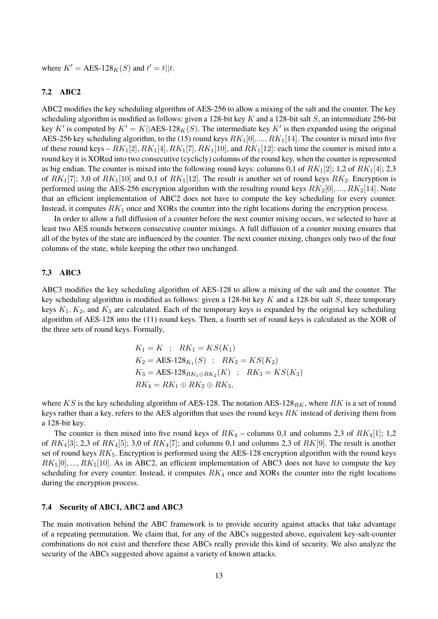where  $K' = \text{AES-128}_K(S)$  and  $t' = t||t$ .

## 7.2 ABC2

ABC2 modifies the key scheduling algorithm of AES-256 to allow a mixing of the salt and the counter. The key scheduling algorithm is modified as follows: given a 128-bit key  $K$  and a 128-bit salt  $S$ , an intermediate 256-bit key K' is computed by  $K' = K||AES-128<sub>K</sub>(S)$ . The intermediate key K' is then expanded using the original AES-256 key scheduling algorithm, to the (15) round keys  $RK_1[0], ..., RK_1[14]$ . The counter is mixed into five of these round keys –  $RK_1[2], RK_1[4], RK_1[7], RK_1[10],$  and  $RK_1[12]$ : each time the counter is mixed into a round key it is XORed into two consecutive (cyclicly) columns of the round key, when the counter is represented as big endian. The counter is mixed into the following round keys: columns 0,1 of  $RK_1[2]$ ; 1,2 of  $RK_1[4]$ ; 2,3 of  $RK_1[7]$ ; 3,0 of  $RK_1[10]$  and 0,1 of  $RK_1[12]$ . The result is another set of round keys  $RK_2$ . Encryption is performed using the AES-256 encryption algorithm with the resulting round keys  $RK_2[0], ..., RK_2[14]$ . Note that an efficient implementation of ABC2 does not have to compute the key scheduling for every counter. Instead, it computes  $RK_1$  once and XORs the counter into the right locations during the encryption process.

In order to allow a full diffusion of a counter before the next counter mixing occurs, we selected to have at least two AES rounds between consecutive counter mixings. A full diffusion of a counter mixing ensures that all of the bytes of the state are influenced by the counter. The next counter mixing, changes only two of the four columns of the state, while keeping the other two unchanged.

## 7.3 ABC3

ABC3 modifies the key scheduling algorithm of AES-128 to allow a mixing of the salt and the counter. The key scheduling algorithm is modified as follows: given a 128-bit key K and a 128-bit salt S, three temporary keys  $K_1, K_2$ , and  $K_3$  are calculated. Each of the temporary keys is expanded by the original key scheduling algorithm of AES-128 into the (11) round keys. Then, a fourth set of round keys is calculated as the XOR of the three sets of round keys. Formally,

$$
K_1 = K \; ; \; RK_1 = KS(K_1)
$$
  
\n
$$
K_2 = AES \cdot 128_{K_1}(S) \; ; \; RK_2 = KS(K_2)
$$
  
\n
$$
K_3 = AES \cdot 128_{RK_1 \oplus RK_2}(K) \; ; \; RK_3 = KS(K_3)
$$
  
\n
$$
RK_4 = RK_1 \oplus RK_2 \oplus RK_3,
$$

where KS is the key scheduling algorithm of AES-128. The notation AES-128<sub>RK</sub>, where RK is a set of round keys rather than a key, refers to the AES algorithm that uses the round keys RK instead of deriving them from a 128-bit key.

The counter is then mixed into five round keys of  $RK_4$  – columns 0,1 and columns 2,3 of  $RK_4[1]$ ; 1,2 of  $RK_4[3]$ ; 2,3 of  $RK_4[5]$ ; 3,0 of  $RK_4[7]$ ; and columns 0,1 and columns 2,3 of  $RK[9]$ . The result is another set of round keys  $RK_5$ . Encryption is performed using the AES-128 encryption algorithm with the round keys  $RK_5[0], ..., RK_5[10]$ . As in ABC2, an efficient implementation of ABC3 does not have to compute the key scheduling for every counter. Instead, it computes  $RK<sub>4</sub>$  once and XORs the counter into the right locations during the encryption process.

## 7.4 Security of ABC1, ABC2 and ABC3

The main motivation behind the ABC framework is to provide security against attacks that take advantage of a repeating permutation. We claim that, for any of the ABCs suggested above, equivalent key-salt-counter combinations do not exist and therefore these ABCs really provide this kind of security. We also analyze the security of the ABCs suggested above against a variety of known attacks.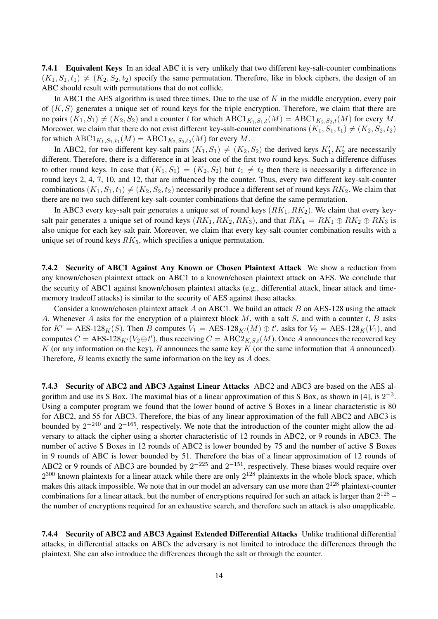7.4.1 Equivalent Keys In an ideal ABC it is very unlikely that two different key-salt-counter combinations  $(K_1, S_1, t_1) \neq (K_2, S_2, t_2)$  specify the same permutation. Therefore, like in block ciphers, the design of an ABC should result with permutations that do not collide.

In ABC1 the AES algorithm is used three times. Due to the use of  $K$  in the middle encryption, every pair of  $(K, S)$  generates a unique set of round keys for the triple encryption. Therefore, we claim that there are no pairs  $(K_1, S_1) \neq (K_2, S_2)$  and a counter t for which  $\text{ABC1}_{K_1, S_1, t}(M) = \text{ABC1}_{K_2, S_2, t}(M)$  for every M. Moreover, we claim that there do not exist different key-salt-counter combinations  $(K_1, S_1, t_1) \neq (K_2, S_2, t_2)$ for which  $\mathrm{ABC1}_{K_1,S_1,t_1}(M)=\mathrm{ABC1}_{K_2,S_2,t_2}(M)$  for every  $M.$ 

In ABC2, for two different key-salt pairs  $(K_1, S_1) \neq (K_2, S_2)$  the derived keys  $K'_1, K'_2$  are necessarily different. Therefore, there is a difference in at least one of the first two round keys. Such a difference diffuses to other round keys. In case that  $(K_1, S_1) = (K_2, S_2)$  but  $t_1 \neq t_2$  then there is necessarily a difference in round keys 2, 4, 7, 10, and 12, that are influenced by the counter. Thus, every two different key-salt-counter combinations  $(K_1, S_1, t_1) \neq (K_2, S_2, t_2)$  necessarily produce a different set of round keys  $RK_2$ . We claim that there are no two such different key-salt-counter combinations that define the same permutation.

In ABC3 every key-salt pair generates a unique set of round keys  $(RK_1, RK_2)$ . We claim that every keysalt pair generates a unique set of round keys  $(RK_1, RK_2, RK_3)$ , and that  $RK_4 = RK_1 \oplus RK_2 \oplus RK_3$  is also unique for each key-salt pair. Moreover, we claim that every key-salt-counter combination results with a unique set of round keys  $RK_5$ , which specifies a unique permutation.

7.4.2 Security of ABC1 Against Any Known or Chosen Plaintext Attack We show a reduction from any known/chosen plaintext attack on ABC1 to a known/chosen plaintext attack on AES. We conclude that the security of ABC1 against known/chosen plaintext attacks (e.g., differential attack, linear attack and timememory tradeoff attacks) is similar to the security of AES against these attacks.

Consider a known/chosen plaintext attack A on ABC1. We build an attack B on AES-128 using the attack A. Whenever A asks for the encryption of a plaintext block  $M$ , with a salt  $S$ , and with a counter  $t$ ,  $B$  asks for  $K' = \text{AES-128}_K(S)$ . Then B computes  $V_1 = \text{AES-128}_{K'}(M) \oplus t'$ , asks for  $V_2 = \text{AES-128}_K(V_1)$ , and computes  $C = \text{AES-128}_{K'}(V_2 \oplus t')$ , thus receiving  $C = \text{ABC2}_{K,S,t}(M)$ . Once A announces the recovered key K (or any information on the key), B announces the same key K (or the same information that A announced). Therefore, B learns exactly the same information on the key as A does.

7.4.3 Security of ABC2 and ABC3 Against Linear Attacks ABC2 and ABC3 are based on the AES algorithm and use its S Box. The maximal bias of a linear approximation of this S Box, as shown in [4], is  $2^{-3}$ . Using a computer program we found that the lower bound of active S Boxes in a linear characteristic is 80 for ABC2, and 55 for ABC3. Therefore, the bias of any linear approximation of the full ABC2 and ABC3 is bounded by  $2^{-240}$  and  $2^{-165}$ , respectively. We note that the introduction of the counter might allow the adversary to attack the cipher using a shorter characteristic of 12 rounds in ABC2, or 9 rounds in ABC3. The number of active S Boxes in 12 rounds of ABC2 is lower bounded by 75 and the number of active S Boxes in 9 rounds of ABC is lower bounded by 51. Therefore the bias of a linear approximation of 12 rounds of ABC2 or 9 rounds of ABC3 are bounded by  $2^{-225}$  and  $2^{-151}$ , respectively. These biases would require over  $2^{300}$  known plaintexts for a linear attack while there are only  $2^{128}$  plaintexts in the whole block space, which makes this attack impossible. We note that in our model an adversary can use more than  $2^{128}$  plaintext-counter combinations for a linear attack, but the number of encryptions required for such an attack is larger than  $2^{128}$  – the number of encryptions required for an exhaustive search, and therefore such an attack is also unapplicable.

7.4.4 Security of ABC2 and ABC3 Against Extended Differential Attacks Unlike traditional differential attacks, in differential attacks on ABCs the adversary is not limited to introduce the differences through the plaintext. She can also introduce the differences through the salt or through the counter.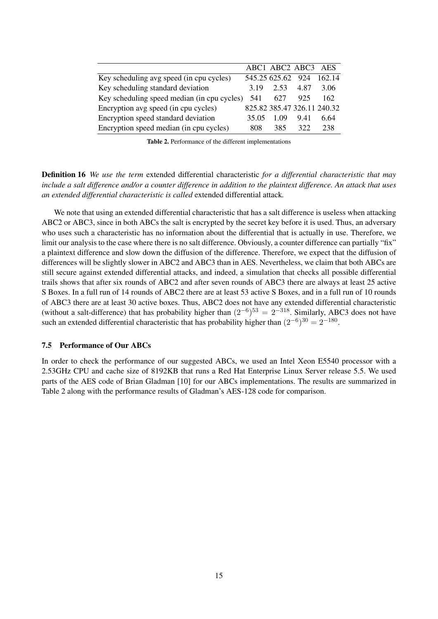|                                             |       | ABC1 ABC2 ABC3 AES          |      |      |
|---------------------------------------------|-------|-----------------------------|------|------|
| Key scheduling avg speed (in cpu cycles)    |       | 545.25 625.62 924 162.14    |      |      |
| Key scheduling standard deviation           | 3.19  | 2.53                        | 4.87 | 3.06 |
| Key scheduling speed median (in cpu cycles) | 541   | 627                         | 925  | 162  |
| Encryption avg speed (in cpu cycles)        |       | 825.82 385.47 326.11 240.32 |      |      |
| Encryption speed standard deviation         | 35.05 | 1.09                        | 9.41 | 6.64 |
| Encryption speed median (in cpu cycles)     | 808   | 385                         | 322  | 238  |
|                                             |       |                             |      |      |

Table 2. Performance of the different implementations

Definition 16 *We use the term* extended differential characteristic *for a differential characteristic that may include a salt difference and/or a counter difference in addition to the plaintext difference. An attack that uses an extended differential characteristic is called* extended differential attack*.*

We note that using an extended differential characteristic that has a salt difference is useless when attacking ABC2 or ABC3, since in both ABCs the salt is encrypted by the secret key before it is used. Thus, an adversary who uses such a characteristic has no information about the differential that is actually in use. Therefore, we limit our analysis to the case where there is no salt difference. Obviously, a counter difference can partially "fix" a plaintext difference and slow down the diffusion of the difference. Therefore, we expect that the diffusion of differences will be slightly slower in ABC2 and ABC3 than in AES. Nevertheless, we claim that both ABCs are still secure against extended differential attacks, and indeed, a simulation that checks all possible differential trails shows that after six rounds of ABC2 and after seven rounds of ABC3 there are always at least 25 active S Boxes. In a full run of 14 rounds of ABC2 there are at least 53 active S Boxes, and in a full run of 10 rounds of ABC3 there are at least 30 active boxes. Thus, ABC2 does not have any extended differential characteristic (without a salt-difference) that has probability higher than  $(2^{-6})^{53} = 2^{-318}$ . Similarly, ABC3 does not have such an extended differential characteristic that has probability higher than  $(2^{-6})^{30} = 2^{-180}$ .

## 7.5 Performance of Our ABCs

In order to check the performance of our suggested ABCs, we used an Intel Xeon E5540 processor with a 2.53GHz CPU and cache size of 8192KB that runs a Red Hat Enterprise Linux Server release 5.5. We used parts of the AES code of Brian Gladman [10] for our ABCs implementations. The results are summarized in Table 2 along with the performance results of Gladman's AES-128 code for comparison.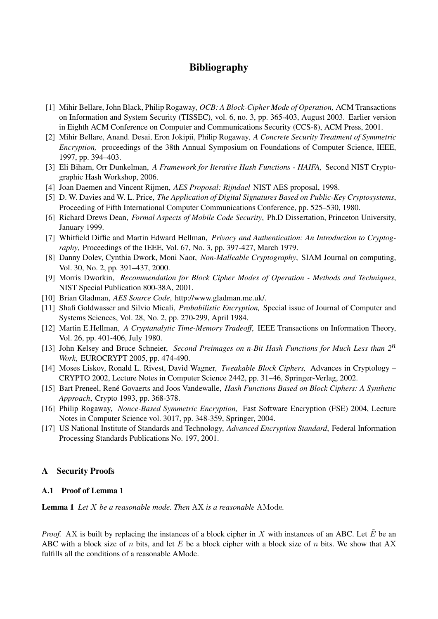# Bibliography

- [1] Mihir Bellare, John Black, Philip Rogaway, *OCB: A Block-Cipher Mode of Operation,* ACM Transactions on Information and System Security (TISSEC), vol. 6, no. 3, pp. 365-403, August 2003. Earlier version in Eighth ACM Conference on Computer and Communications Security (CCS-8), ACM Press, 2001.
- [2] Mihir Bellare, Anand. Desai, Eron Jokipii, Philip Rogaway, *A Concrete Security Treatment of Symmetric Encryption,* proceedings of the 38th Annual Symposium on Foundations of Computer Science, IEEE, 1997, pp. 394–403.
- [3] Eli Biham, Orr Dunkelman, *A Framework for Iterative Hash Functions HAIFA,* Second NIST Cryptographic Hash Workshop, 2006.
- [4] Joan Daemen and Vincent Rijmen, *AES Proposal: Rijndael* NIST AES proposal, 1998.
- [5] D. W. Davies and W. L. Price, *The Application of Digital Signatures Based on Public-Key Cryptosystems*, Proceeding of Fifth International Computer Communications Conference, pp. 525–530, 1980.
- [6] Richard Drews Dean, *Formal Aspects of Mobile Code Security*, Ph.D Dissertation, Princeton University, January 1999.
- [7] Whitfield Diffie and Martin Edward Hellman, *Privacy and Authentication: An Introduction to Cryptography*, Proceedings of the IEEE, Vol. 67, No. 3, pp. 397-427, March 1979.
- [8] Danny Dolev, Cynthia Dwork, Moni Naor, *Non-Malleable Cryptography*, SIAM Journal on computing, Vol. 30, No. 2, pp. 391–437, 2000.
- [9] Morris Dworkin, *Recommendation for Block Cipher Modes of Operation Methods and Techniques*, NIST Special Publication 800-38A, 2001.
- [10] Brian Gladman, *AES Source Code*, http://www.gladman.me.uk/.
- [11] Shafi Goldwasser and Silvio Micali, *Probabilistic Encryption,* Special issue of Journal of Computer and Systems Sciences, Vol. 28, No. 2, pp. 270-299, April 1984.
- [12] Martin E.Hellman, *A Cryptanalytic Time-Memory Tradeoff*, IEEE Transactions on Information Theory, Vol. 26, pp. 401-406, July 1980.
- [13] John Kelsey and Bruce Schneier, *Second Preimages on n-Bit Hash Functions for Much Less than 2n Work*, EUROCRYPT 2005, pp. 474-490.
- [14] Moses Liskov, Ronald L. Rivest, David Wagner, *Tweakable Block Ciphers,* Advances in Cryptology CRYPTO 2002, Lecture Notes in Computer Science 2442, pp. 31–46, Springer-Verlag, 2002.
- [15] Bart Preneel, René Govaerts and Joos Vandewalle, *Hash Functions Based on Block Ciphers: A Synthetic Approach*, Crypto 1993, pp. 368-378.
- [16] Philip Rogaway, *Nonce-Based Symmetric Encryption,* Fast Software Encryption (FSE) 2004, Lecture Notes in Computer Science vol. 3017, pp. 348-359, Springer, 2004.
- [17] US National Institute of Standards and Technology, *Advanced Encryption Standard*, Federal Information Processing Standards Publications No. 197, 2001.

# A Security Proofs

# A.1 Proof of Lemma 1

Lemma 1 *Let* X *be a reasonable mode. Then* AX *is a reasonable* AMode*.*

*Proof.* AX is built by replacing the instances of a block cipher in X with instances of an ABC. Let  $\hat{E}$  be an ABC with a block size of n bits, and let E be a block cipher with a block size of n bits. We show that AX fulfills all the conditions of a reasonable AMode.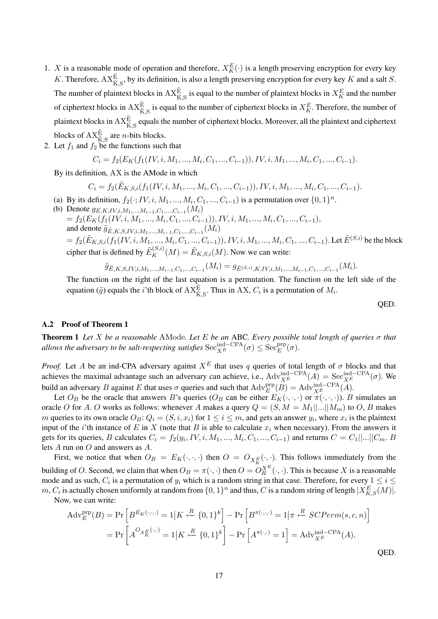- 1. X is a reasonable mode of operation and therefore,  $X_K^E(\cdot)$  is a length preserving encryption for every key K. Therefore,  $AX_{\tilde{K},S}^{\tilde{E}}$ , by its definition, is also a length preserving encryption for every key K and a salt S. The number of plaintext blocks in  $\mathrm{AX}_{\tilde{K},S}^{\tilde{E}}$  is equal to the number of plaintext blocks in  $X_K^E$  and the number of ciphertext blocks in  $AX_{\tilde{K},S}^{\tilde{E}}$  is equal to the number of ciphertext blocks in  $X_K^E$ . Therefore, the number of plaintext blocks in  $\mathrm{AX}_{\tilde{\mathrm{K}},\mathrm{S}}^{\tilde{\mathrm{E}}}$  equals the number of ciphertext blocks. Moreover, all the plaintext and ciphertext blocks of  $\mathop{\mathrm{AX}}\nolimits_{\tilde{\mathrm{K}},\mathrm{S}}^{\tilde{\mathrm{E}}}$  are *n*-bits blocks.
- 2. Let  $f_1$  and  $f_2$  be the functions such that

$$
C_i = f_2(E_K(f_1(IV, i, M_1, ..., M_i, C_1, ..., C_{i-1})), IV, i, M_1, ..., M_i, C_1, ..., C_{i-1}).
$$

By its definition, AX is the AMode in which

$$
C_i = f_2(\tilde{E}_{K,S,i}(f_1(IV,i,M_1,...,M_i,C_1,...,C_{i-1})),IV,i,M_1,...,M_i,C_1,...,C_{i-1}).
$$

- (a) By its definition,  $f_2(\cdot; IV, i, M_1, ..., M_i, C_1, ..., C_{i-1})$  is a permutation over  $\{0, 1\}^n$ .
- (b) Denote  $g_{E,K,IV,i,M_1,...,M_{i-1},C_1,...,C_{i-1}}(M_i)$  $= f_2(E_K(f_1(IV, i, M_1, ..., M_i, C_1, ..., C_{i-1})), IV, i, M_1, ..., M_i, C_1, ..., C_{i-1}),$ and denote  $\tilde{g}_{\tilde{E},K,S,IV,i,M_{1},...,M_{i-1},C_{1},...,C_{i-1}}(M_{i})$  $=f_2(\tilde E_{K,S,i}(f_1(IV,i,M_1,...,M_i,C_1,...,C_{i-1})),IV,i,M_1,...,M_i,C_1,...,C_{i-1}).$  Let  $\tilde E^{(S,i)}$  be the block cipher that is defined by  $\tilde{E}_K^{(S,i)}(M) = \tilde{E}_{K,S,i}(M)$ . Now we can write:

$$
\tilde{g}_{\tilde{E},K,S,IV,i,M_1,\ldots,M_{i-1},C_1,\ldots,C_{i-1}}(M_i)=g_{\tilde{E}^{(S,i)},K,IV,i,M_1,\ldots,M_{i-1},C_1,\ldots,C_{i-1}}(M_i).
$$

The function on the right of the last equation is a permutation. The function on the left side of the equation ( $\tilde{g}$ ) equals the *i*'th block of  $AX^{\tilde{E}}_{\tilde{K},S}$ . Thus in AX,  $C_i$  is a permutation of  $M_i$ .

QED.

#### A.2 Proof of Theorem 1

Theorem 1 *Let* X *be a reasonable* AMode*. Let* E *be an* ABC*. Every possible total length of queries* σ *that allows the adversary to be salt-respecting satisfies*  $\mathrm{Sec}_{X^E}^{\mathrm{ind}-\mathrm{CPA}}(\sigma) \leq \mathrm{Sec}_E^{\mathrm{prp}}(\sigma)$ .

*Proof.* Let A be an ind-CPA adversary against  $X^E$  that uses q queries of total length of  $\sigma$  blocks and that achieves the maximal advantage such an adversary can achieve, i.e.,  $\text{Adv}_{X^E}^{\text{ind}-\text{CPA}}(A) = \text{Sec}_{X^E}^{\text{ind}-\text{CPA}}(\sigma)$ . We build an adversary B against E that uses  $\sigma$  queries and such that  $\text{Adv}_{E}^{\text{prp}}(B) = \text{Adv}_{X^{E}}^{\text{ind}-\text{CPA}}(A)$ .

Let  $O_B$  be the oracle that answers B's queries  $(O_B$  can be either  $E_K(\cdot,\cdot,\cdot)$  or  $\pi(\cdot,\cdot,\cdot)$ ). B simulates an oracle O for A. O works as follows: whenever A makes a query  $Q = (S, M = M_1 ||...|| M_m)$  to O, B makes m queries to its own oracle  $O_B: Q_i = (S, i, x_i)$  for  $1 \le i \le m$ , and gets an answer  $y_i$ , where  $x_i$  is the plaintext input of the *i*'th instance of E in X (note that B is able to calculate  $x_i$  when necessary). From the answers it gets for its queries, B calculates  $C_i = f_2(y_i, IV, i, M_1, ..., M_i, C_1, ..., C_{i-1})$  and returns  $C = C_1 ||...|| C_m$ . B lets A run on O and answers as A.

First, we notice that when  $O_B = E_K(\cdot, \cdot, \cdot)$  then  $O = O_{X_K^E}(\cdot, \cdot)$ . This follows immediately from the building of O. Second, we claim that when  $O_B = \pi(\cdot, \cdot)$  then  $O = O_R^{X^E}(\cdot, \cdot)$ . This is because X is a reasonable mode and as such,  $C_i$  is a permutation of  $y_i$  which is a random string in that case. Therefore, for every  $1 \leq i \leq$  $m, C_i$  is actually chosen uniformly at random from  $\{0,1\}^n$  and thus,  $C$  is a random string of length  $|X_{K,S}^E(M)|$ .

Now, we can write:

$$
\operatorname{Adv}_{E}^{\text{prp}}(B) = \Pr\left[B^{E_{K}(\cdot,\cdot,\cdot)} = 1 | K \xleftarrow{R} \{0,1\}^{k}\right] - \Pr\left[B^{\pi(\cdot,\cdot,\cdot)} = 1 | \pi \xleftarrow{R} SCPerm(s,c,n)\right]
$$

$$
= \Pr\left[A^{O_{X_{K}^{E}}(\cdot,\cdot)} = 1 | K \xleftarrow{R} \{0,1\}^{k}\right] - \Pr\left[A^{\pi(\cdot,\cdot)} = 1\right] = \operatorname{Adv}_{X^{E}}^{\text{ind}-\text{CPA}}(A).
$$
OED.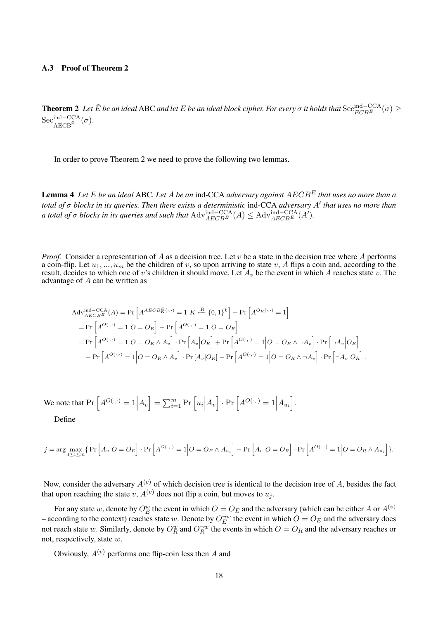## A.3 Proof of Theorem 2

**Theorem 2** Let  $\tilde{E}$  be an ideal ABC and let  $E$  be an ideal block cipher. For every  $\sigma$  it holds that  $\text{Sec}_{ECBE}^{\text{ind--CCA}}(\sigma) \geq$  $\mathrm{Sec}^{\mathrm{ind-CCA}}_{\mathrm{AECB}^{\tilde{\mathrm{E}}}}(\sigma).$ 

In order to prove Theorem 2 we need to prove the following two lemmas.

Lemma 4 *Let* E *be an ideal* ABC*. Let* A *be an* ind*-*CCA *adversary against* AECB<sup>E</sup> *that uses no more than a* total of σ blocks in its queries. Then there exists a deterministic ind-CCA adversary A' that uses no more than *a total of*  $\sigma$  *blocks in its queries and such that*  $\text{Adv}_{AECB^E}^{\text{ind}-\text{CCA}}(A) \leq \text{Adv}_{AECB^E}^{\text{ind}-\text{CCA}}(A').$ 

*Proof.* Consider a representation of A as a decision tree. Let v be a state in the decision tree where A performs a coin-flip. Let  $u_1, ..., u_m$  be the children of v, so upon arriving to state v, A flips a coin and, according to the result, decides to which one of v's children it should move. Let  $A_v$  be the event in which A reaches state v. The advantage of A can be written as

$$
Adv_{AECBE}^{ind-CCA}(A) = Pr\left[A^{AECB_{K}^{E}(\cdot,\cdot)} = 1 \middle| K \stackrel{R}{\leftarrow} \{0,1\}^{k}\right] - Pr\left[A^{O_{R}(\cdot,\cdot)} = 1\right]
$$
  
\n
$$
= Pr\left[A^{O(\cdot,\cdot)} = 1 \middle| O = O_{E}\right] - Pr\left[A^{O(\cdot,\cdot)} = 1 \middle| O = O_{R}\right]
$$
  
\n
$$
= Pr\left[A^{O(\cdot,\cdot)} = 1 \middle| O = O_{E} \wedge A_{v}\right] \cdot Pr\left[A_{v}\middle| O_{E}\right] + Pr\left[A^{O(\cdot,\cdot)} = 1 \middle| O = O_{E} \wedge \neg A_{v}\right] \cdot Pr\left[\neg A_{v}\middle| O_{E}\right]
$$
  
\n
$$
- Pr\left[A^{O(\cdot,\cdot)} = 1 \middle| O = O_{R} \wedge A_{v}\right] \cdot Pr\left[A_{v}\middle| O_{R}\right] - Pr\left[A^{O(\cdot,\cdot)} = 1 \middle| O = O_{R} \wedge \neg A_{v}\right] \cdot Pr\left[\neg A_{v}\middle| O_{R}\right].
$$

We note that  $Pr\left[A^{O(\cdot,\cdot)}=1\Big|A_v\right] = \sum_{i=1}^m Pr\left[u_i\Big|A_v\right] \cdot Pr\left[A^{O(\cdot,\cdot)}=1\Big|A_{u_i}\right]$ .

Define

$$
j = \arg\max_{1 \le i \le m} \{ \Pr\left[A_v \middle| O = O_E \right] \cdot \Pr\left[A^{O(\cdot, \cdot)} = 1 \middle| O = O_E \land A_{u_i} \right] - \Pr\left[A_v \middle| O = O_R \right] \cdot \Pr\left[A^{O(\cdot, \cdot)} = 1 \middle| O = O_R \land A_{u_i} \right] \}.
$$

Now, consider the adversary  $A^{(v)}$  of which decision tree is identical to the decision tree of A, besides the fact that upon reaching the state v,  $A^{(v)}$  does not flip a coin, but moves to  $u_i$ .

For any state  $w$ , denote by  $O_E^w$  the event in which  $O = O_E$  and the adversary (which can be either A or  $A^{(v)}$ – according to the context) reaches state w. Denote by  $O_E^{-w}$  the event in which  $O = O_E$  and the adversary does not reach state w. Similarly, denote by  $O_R^w$  and  $O_R^{-w}$  the events in which  $O = O_R$  and the adversary reaches or not, respectively, state w.

Obviously,  $A^{(v)}$  performs one flip-coin less then A and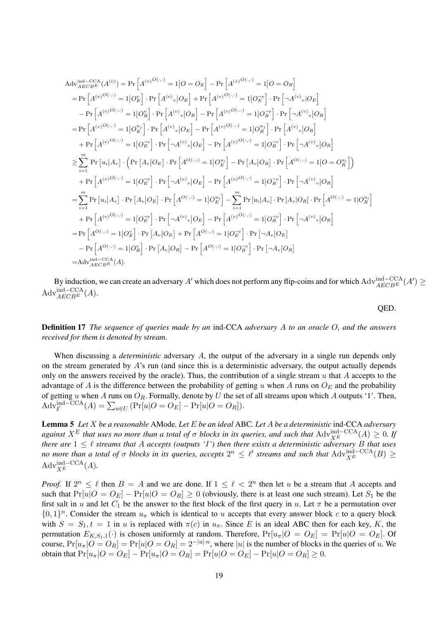$$
Adv_{AECEE}^{ind-CCA}(A^{(v)}) = Pr\left[A^{(v)O(\cdot,\cdot)} = 1 | O = O_E\right] - Pr\left[A^{(v)O(\cdot,\cdot)} = 1 | O = O_R\right]
$$
\n
$$
= Pr\left[A^{(v)O(\cdot,\cdot)} = 1 | O_E^v\right] \cdot Pr\left[A^{(v)}_v | O_E\right] + Pr\left[A^{(v)O(\cdot,\cdot)} = 1 | O_E^{*v}\right] \cdot Pr\left[\neg A^{(v)}_v | O_E\right]
$$
\n
$$
- Pr\left[A^{(v)O(\cdot,\cdot)} = 1 | O_E^u\right] \cdot Pr\left[A^{(v)}_v | O_R\right] - Pr\left[A^{(v)O(\cdot,\cdot)} = 1 | O_R^{*v}\right] \cdot Pr\left[\neg A^{(v)}_v | O_R\right]
$$
\n
$$
= Pr\left[A^{(v)O(\cdot,\cdot)} = 1 | O_E^{*v}\right] \cdot Pr\left[A^{(v)}_v | O_E\right] - Pr\left[A^{(v)O(\cdot,\cdot)} = 1 | O_R^{*v}\right] \cdot Pr\left[A^{(v)}_v | O_R\right]
$$
\n
$$
+ Pr\left[A^{(v)O(\cdot,\cdot)} = 1 | O_E^{*v}\right] \cdot Pr\left[\neg A^{(v)}_v | O_E\right] - Pr\left[A^{(v)O(\cdot,\cdot)} = 1 | O_R^{*v}\right] \cdot Pr\left[\neg A^{(v)}_v | O_R\right]
$$
\n
$$
\geq \sum_{i=1}^{m} Pr\left[u_i | A_v\right] \cdot \left(Pr\left[A_v | O_E\right] \cdot Pr\left[A^{O(\cdot,\cdot)} = 1 | O_E^{*v}\right] - Pr\left[A_v | O_R\right] \cdot Pr\left[A^{O(\cdot,\cdot)} = 1 | O = O_R^{*i}\right]\right)
$$
\n
$$
+ Pr\left[A^{(v)O(\cdot,\cdot)} = 1 | O_E^{*v}\right] \cdot Pr\left[\neg A^{(v)}_v | O_E\right] - Pr\left[A^{(v)O(\cdot,\cdot)} = 1 | O_R^{*v}\right] \cdot Pr\left[\neg A^{(v)}_v | O_R\right]
$$
\n
$$
= \sum_{i=1}^{m} Pr\left[u_i | A_v\right] \cdot Pr\left[A_v | O_E\right] \cdot Pr\left[A^{O(\cdot,\cdot)} = 1 | O_E^{*v}\right] - \
$$

By induction, we can create an adversary A' which does not perform any flip-coins and for which  $\text{Adv}_{AECB^E}^{\text{ind}-\text{CCA}}(A') \ge$  $\mathrm{Adv}^{\mathrm{ind-CCA}}_{AECB^E}(A).$ 

QED.

Definition 17 *The sequence of queries made by an* ind*-*CCA *adversary* A *to an oracle* O*, and the answers received for them is denoted by* s*tream.*

When discussing a *deterministic* adversary A, the output of the adversary in a single run depends only on the stream generated by  $A$ 's run (and since this is a deterministic adversary, the output actually depends only on the answers received by the oracle). Thus, the contribution of a single stream  $u$  that  $A$  accepts to the advantage of A is the difference between the probability of getting u when A runs on  $O_E$  and the probability of getting u when A runs on  $O_R$ . Formally, denote by U the set of all streams upon which A outputs '1'. Then,  $\mathrm{Adv}_{\mathcal{E}}^{\mathrm{ind-CCA}}(A) = \sum_{u\in U} \left( \Pr[u|O = O_E] - \Pr[u|O = O_R] \right).$ 

Lemma 5 *Let* X *be a reasonable* AMode*. Let* E *be an ideal* ABC*. Let* A *be a deterministic* ind*-*CCA *adversary against*  $X^E$  *that uses no more than a total of*  $\sigma$  *blocks in its queries, and such that*  $\text{Adv}_{X^E}^{\text{ind}-\text{CCA}}(A) \geq 0$ . If *there are*  $1 \leq \ell$  *streams that* A *accepts (outputs '1') then there exists a deterministic adversary* B *that uses no more than a total of*  $\sigma$  *blocks in its queries, accepts*  $2^n \leq \ell'$  *streams and such that*  $\text{Adv}_{X^E}^{\text{ind}-\text{CCA}}(B) \geq$  $\mathrm{Adv}_{X^E}^{\mathrm{ind-CCA}}(A).$ 

*Proof.* If  $2^n \leq \ell$  then  $B = A$  and we are done. If  $1 \leq \ell < 2^n$  then let u be a stream that A accepts and such that  $Pr[u|O = O_E] - Pr[u|O = O_R] \ge 0$  (obviously, there is at least one such stream). Let  $S_1$  be the first salt in u and let  $C_1$  be the answer to the first block of the first query in u. Let  $\pi$  be a permutation over  $\{0,1\}^n$ . Consider the stream  $u_\pi$  which is identical to u accepts that every answer block c to a query block with  $S = S_1, t = 1$  in u is replaced with  $\pi(c)$  in  $u_{\pi}$ . Since E is an ideal ABC then for each key, K, the permutation  $E_{K,S_1,1}(\cdot)$  is chosen uniformly at random. Therefore,  $Pr[u_\pi]O = O_E] = Pr[u|O = O_E]$ . Of course,  $Pr[u_{\pi}|O = O_R] = Pr[u|O = O_R] = 2^{-|u| \cdot n}$ , where  $|u|$  is the number of blocks in the queries of u. We obtain that  $Pr[u_{\pi}|O = O_E] - Pr[u_{\pi}|O = O_R] = Pr[u|O = O_E] - Pr[u|O = O_R] \ge 0.$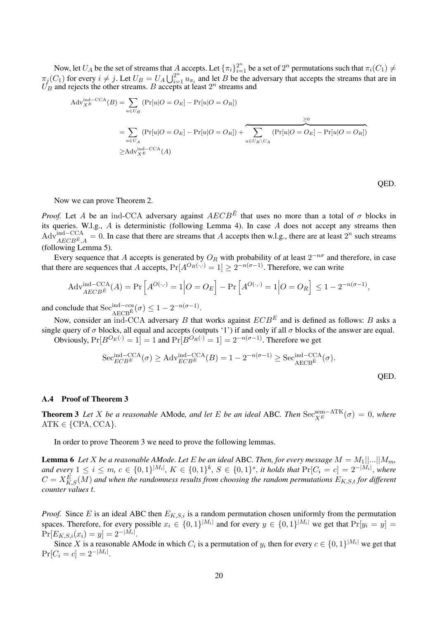Now, let  $U_A$  be the set of streams that A accepts. Let  ${\lbrace \pi_i \rbrace_{i=1}^{2^n}}$  be a set of  $2^n$  permutations such that  $\pi_i(C_1) \neq$  $\pi_j(C_1)$  for every  $i \neq j$ . Let  $U_B = U_A \bigcup_{i=1}^{2^n} u_{\pi_i}$  and let B be the adversary that accepts the streams that are in  $U_B$  and rejects the other streams. B accepts at least  $2^n$  streams and

$$
Adv_{XE}^{\text{ind}-\text{CCA}}(B) = \sum_{u \in U_B} (Pr[u|O = O_E] - Pr[u|O = O_R])
$$
  
= 
$$
\sum_{u \in U_A} (Pr[u|O = O_E] - Pr[u|O = O_R]) + \sum_{u \in U_B \backslash U_A} (Pr[u|O = O_E] - Pr[u|O = O_R])
$$
  

$$
\geq Adv_{XE}^{\text{ind}-\text{CCA}}(A)
$$

QED.

Now we can prove Theorem 2.

*Proof.* Let A be an ind-CCA adversary against  $AECB^{\tilde{E}}$  that uses no more than a total of  $\sigma$  blocks in its queries. W.l.g., A is deterministic (following Lemma 4). In case A does not accept any streams then  $\text{Adv}_{AECB^{\tilde{E}},A}^{\text{ind}-\text{CCA}}=0.$  In case that there are streams that A accepts then w.l.g., there are at least  $2^n$  such streams (following Lemma 5).

Every sequence that A accepts is generated by  $O_R$  with probability of at least  $2^{-n\sigma}$  and therefore, in case that there are sequences that A accepts,  $Pr[A^{O_R(\cdot,\cdot)} = 1] \geq 2^{-n(\sigma-1)}$ . Therefore, we can write

$$
\text{Adv}_{AECB^{\tilde{E}}}^{\text{ind}-\text{CCA}}(A) = \Pr\left[A^{O(\cdot,\cdot)} = 1 \middle| O = O_E\right] - \Pr\left[A^{O(\cdot,\cdot)} = 1 \middle| O = O_R\right] \le 1 - 2^{-n(\sigma-1)},
$$

and conclude that  $\text{Sec}_{AECB^{\hat{E}}}^{ind-cca}(\sigma) \leq 1 - 2^{-n(\sigma-1)}$ .

Now, consider an ind-CCA adversary B that works against  $ECB<sup>E</sup>$  and is defined as follows: B asks a single query of  $\sigma$  blocks, all equal and accepts (outputs '1') if and only if all  $\sigma$  blocks of the answer are equal.

Obviously,  $Pr[B^{O_E(\cdot)} = 1] = 1$  and  $Pr[B^{O_R(\cdot)} = 1] = 2^{-n(\sigma-1)}$ . Therefore we get

$$
\operatorname{Sec}_{ECB^E}^{\operatorname{ind}-\operatorname{CCA}}(\sigma) \ge \operatorname{Adv}_{ECB^E}^{\operatorname{ind}-\operatorname{CCA}}(B) = 1 - 2^{-n(\sigma-1)} \ge \operatorname{Sec}_{AECB^E}^{\operatorname{ind}-\operatorname{CCA}}(\sigma).
$$
\nQED.

## A.4 Proof of Theorem 3

**Theorem 3** *Let* X *be a reasonable* AMode, and let E *be an ideal* ABC. Then  $\text{Sec}_{X^E}^{\text{sem}-\text{ATK}}(\sigma) = 0$ , where  $ATK \in \{CPA, CCA\}.$ 

In order to prove Theorem 3 we need to prove the following lemmas.

**Lemma 6** *Let X be a reasonable AMode. Let E be an ideal ABC. Then, for every message*  $M = M_1 \mid ... \mid M_m$ , *and every*  $1 ≤ i ≤ m, c ∈ {0, 1}^{|M_i|}, K ∈ {0, 1}^k, S ∈ {0, 1}^s,$  *it holds that*  $Pr[C_i = c] = 2^{-|M_i|},$  where  $C = X_{K,S}^E(M)$  and when the randomness results from choosing the random permutations  $E_{K,S,t}$  for different *counter values* t*.*

*Proof.* Since E is an ideal ABC then  $E_{K,S,i}$  is a random permutation chosen uniformly from the permutation spaces. Therefore, for every possible  $x_i \in \{0,1\}^{|M_i|}$  and for every  $y \in \{0,1\}^{|M_i|}$  we get that  $Pr[y_i = y] =$  $Pr[E_{K,S,i}(x_i) = y] = 2^{-|M_i|}.$ 

Since X is a reasonable AMode in which  $C_i$  is a permutation of  $y_i$  then for every  $c \in \{0,1\}^{|M_i|}$  we get that  $Pr[C_i = c] = 2^{-|M_i|}.$